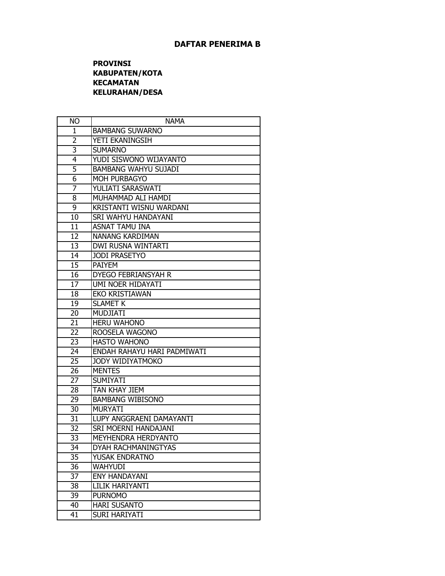## **PROVINSI KABUPATEN/KOTA KECAMATAN KELURAHAN/DESA**

| <b>NO</b>      | <b>NAMA</b>                 |
|----------------|-----------------------------|
| 1              | <b>BAMBANG SUWARNO</b>      |
| $\overline{2}$ | YETI EKANINGSIH             |
| 3              | <b>SUMARNO</b>              |
| 4              | YUDI SISWONO WIJAYANTO      |
| 5              | <b>BAMBANG WAHYU SUJADI</b> |
| 6              | MOH PURBAGYO                |
| 7              | YULIATI SARASWATI           |
| 8              | MUHAMMAD ALI HAMDI          |
| 9              | KRISTANTI WISNU WARDANI     |
| 10             | SRI WAHYU HANDAYANI         |
| 11             | <b>ASNAT TAMU INA</b>       |
| 12             | NANANG KARDIMAN             |
| 13             | DWI RUSNA WINTARTI          |
| 14             | <b>JODI PRASETYO</b>        |
| 15             | <b>PAIYEM</b>               |
| 16             | <b>DYEGO FEBRIANSYAH R</b>  |
| 17             | UMI NOER HIDAYATI           |
| 18             | <b>EKO KRISTIAWAN</b>       |
| 19             | <b>SLAMET K</b>             |
| 20             | <b>MUDJIATI</b>             |
| 21             | <b>HERU WAHONO</b>          |
| 22             | ROOSELA WAGONO              |
| 23             | <b>HASTO WAHONO</b>         |
| 24             | ENDAH RAHAYU HARI PADMIWATI |
| 25             | JODY WIDIYATMOKO            |
| 26             | <b>MENTES</b>               |
| 27             | <b>SUMIYATI</b>             |
| 28             | TAN KHAY JIEM               |
| 29             | <b>BAMBANG WIBISONO</b>     |
| 30             | <b>MURYATI</b>              |
| 31             | LUPY ANGGRAENI DAMAYANTI    |
| 32             | SRI MOERNI HANDAJANI        |
| 33             | MEYHENDRA HERDYANTO         |
| 34             | DYAH RACHMANINGTYAS         |
| 35             | YUSAK ENDRATNO              |
| 36             | <b>WAHYUDI</b>              |
| 37             | <b>ENY HANDAYANI</b>        |
| 38             | LILIK HARIYANTI             |
| 39             | <b>PURNOMO</b>              |
| 40             | <b>HARI SUSANTO</b>         |
| 41             | <b>SURI HARIYATI</b>        |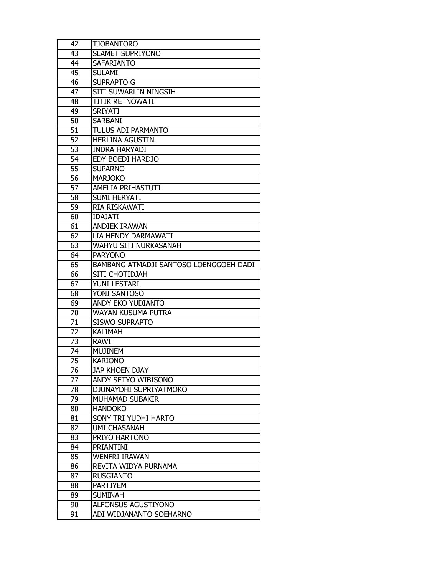| 42              | <b>TJOBANTORO</b>                      |
|-----------------|----------------------------------------|
| 43              | <b>SLAMET SUPRIYONO</b>                |
| 44              | <b>SAFARIANTO</b>                      |
| 45              | <b>SULAMI</b>                          |
| 46              | <b>SUPRAPTO G</b>                      |
| 47              | SITI SUWARLIN NINGSIH                  |
| 48              | <b>TITIK RETNOWATI</b>                 |
| 49              | <b>SRIYATI</b>                         |
| 50              | <b>SARBANI</b>                         |
| 51              | TULUS ADI PARMANTO                     |
| 52              | <b>HERLINA AGUSTIN</b>                 |
| 53              | <b>INDRA HARYADI</b>                   |
| 54              | EDY BOEDI HARDJO                       |
| $\overline{55}$ | <b>SUPARNO</b>                         |
| 56              | <b>MARJOKO</b>                         |
| $\overline{57}$ | AMELIA PRIHASTUTI                      |
| 58              | <b>SUMI HERYATI</b>                    |
| 59              | RIA RISKAWATI                          |
| 60              | <b>IDAJATI</b>                         |
| 61              | <b>ANDIEK IRAWAN</b>                   |
| 62              | LIA HENDY DARMAWATI                    |
| 63              | WAHYU SITI NURKASANAH                  |
| 64              | <b>PARYONO</b>                         |
| 65              | BAMBANG ATMADJI SANTOSO LOENGGOEH DADI |
| 66              | SITI CHOTIDJAH                         |
| $\overline{67}$ | YUNI LESTARI                           |
| 68              | YONI SANTOSO                           |
| 69              | ANDY EKO YUDIANTO                      |
| 70              | <b>WAYAN KUSUMA PUTRA</b>              |
| 71              | <b>SISWO SUPRAPTO</b>                  |
| 72              | <b>KALIMAH</b>                         |
| 73              | <b>RAWI</b>                            |
| 74              | <b>MUJINEM</b>                         |
| 75              | <b>KARIONO</b>                         |
| 76              | JAP KHOEN DJAY                         |
| 77              | ANDY SETYO WIBISONO                    |
| 78              | DJUNAYDHI SUPRIYATMOKO                 |
| 79              | MUHAMAD SUBAKIR                        |
| 80              | <b>HANDOKO</b>                         |
| 81              | SONY TRI YUDHI HARTO                   |
| 82              | <b>UMI CHASANAH</b>                    |
| 83              | PRIYO HARTONO                          |
| 84              | <b>PRIANTINI</b>                       |
| 85              | <b>WENFRI IRAWAN</b>                   |
| 86              | REVITA WIDYA PURNAMA                   |
| 87              | <b>RUSGIANTO</b>                       |
| 88              | <b>PARTIYEM</b>                        |
| 89              | <b>SUMINAH</b>                         |
| 90              | ALFONSUS AGUSTIYONO                    |
| 91              | ADI WIDJANANTO SOEHARNO                |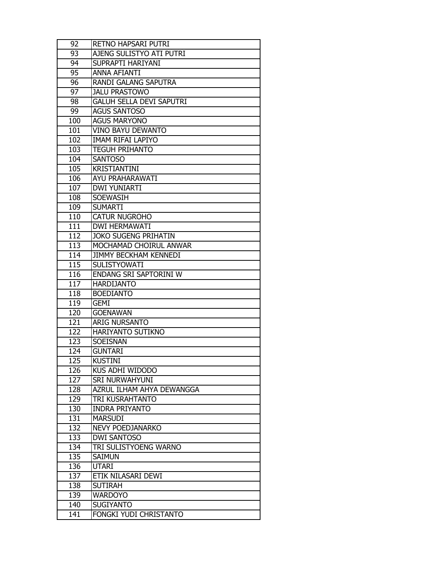| 92         | RETNO HAPSARI PUTRI             |
|------------|---------------------------------|
| 93         | AJENG SULISTYO ATI PUTRI        |
| 94         | SUPRAPTI HARIYANI               |
| 95         | <b>ANNA AFIANTI</b>             |
| 96         | <b>RANDI GALANG SAPUTRA</b>     |
| 97         | <b>JALU PRASTOWO</b>            |
| 98         | <b>GALUH SELLA DEVI SAPUTRI</b> |
| 99         | <b>AGUS SANTOSO</b>             |
| 100        | <b>AGUS MARYONO</b>             |
| 101        | <b>VINO BAYU DEWANTO</b>        |
| 102        | <b>IMAM RIFAI LAPIYO</b>        |
| 103        | <b>TEGUH PRIHANTO</b>           |
| 104        | <b>SANTOSO</b>                  |
| 105        | <b>KRISTIANTINI</b>             |
| 106        | AYU PRAHARAWATI                 |
| 107        | <b>DWI YUNIARTI</b>             |
| 108        | <b>SOEWASIH</b>                 |
| 109        | <b>SUMARTI</b>                  |
| 110        | <b>CATUR NUGROHO</b>            |
| 111        | <b>DWI HERMAWATI</b>            |
| 112        | <b>JOKO SUGENG PRIHATIN</b>     |
| 113        | MOCHAMAD CHOIRUL ANWAR          |
| 114        | <b>JIMMY BECKHAM KENNEDI</b>    |
| 115        | <b>SULISTYOWATI</b>             |
| 116        | ENDANG SRI SAPTORINI W          |
| 117        | <b>HARDIJANTO</b>               |
|            |                                 |
| 118        | <b>BOEDIANTO</b>                |
| 119        | <b>GEMI</b>                     |
| 120        | <b>GOENAWAN</b>                 |
| 121        | <b>ARIG NURSANTO</b>            |
| 122        | HARIYANTO SUTIKNO               |
| 123        | <b>SOEISNAN</b>                 |
| 124        | <b>GUNTARI</b>                  |
| 125        | <b>KUSTINI</b>                  |
| 126        | KUS ADHI WIDODO                 |
| 127        | <b>SRI NURWAHYUNI</b>           |
| 128        | AZRUL ILHAM AHYA DEWANGGA       |
| 129        | TRI KUSRAHTANTO                 |
| 130        | <b>INDRA PRIYANTO</b>           |
| 131        | <b>MARSUDI</b>                  |
| 132        | NEVY POEDJANARKO                |
| 133        | <b>DWI SANTOSO</b>              |
| 134        | TRI SULISTYOENG WARNO           |
| 135        | <b>SAIMUN</b>                   |
| 136        | <b>UTARI</b>                    |
| 137        | ETIK NILASARI DEWI              |
| 138        | <b>SUTIRAH</b>                  |
| 139        | <b>WARDOYO</b>                  |
| 140<br>141 | <b>SUGIYANTO</b>                |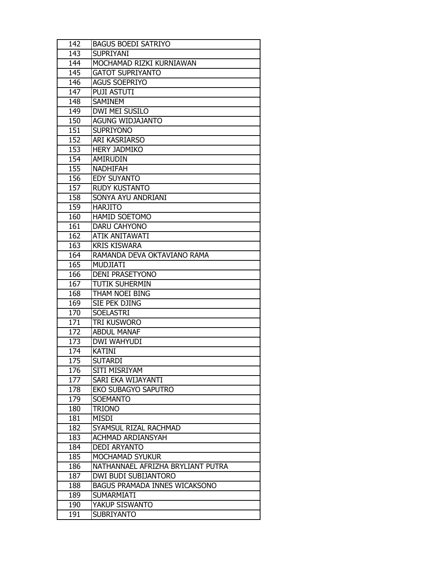| 142 | <b>BAGUS BOEDI SATRIYO</b>           |
|-----|--------------------------------------|
| 143 | <b>SUPRIYANI</b>                     |
| 144 | MOCHAMAD RIZKI KURNIAWAN             |
| 145 | <b>GATOT SUPRIYANTO</b>              |
| 146 | <b>AGUS SOEPRIYO</b>                 |
| 147 | <b>PUJI ASTUTI</b>                   |
| 148 | <b>SAMINEM</b>                       |
| 149 | DWI MEI SUSILO                       |
| 150 | <b>AGUNG WIDJAJANTO</b>              |
| 151 | <b>SUPRIYONO</b>                     |
| 152 | ARI KASRIARSO                        |
| 153 | <b>HERY JADMIKO</b>                  |
| 154 | <b>AMIRUDIN</b>                      |
| 155 | <b>NADHIFAH</b>                      |
| 156 | <b>EDY SUYANTO</b>                   |
| 157 | <b>RUDY KUSTANTO</b>                 |
| 158 | SONYA AYU ANDRIANI                   |
| 159 | <b>HARJITO</b>                       |
| 160 | HAMID SOETOMO                        |
| 161 | DARU CAHYONO                         |
| 162 | <b>ATIK ANITAWATI</b>                |
| 163 | <b>KRIS KISWARA</b>                  |
| 164 | RAMANDA DEVA OKTAVIANO RAMA          |
| 165 | <b>MUDJIATI</b>                      |
| 166 | <b>DENI PRASETYONO</b>               |
| 167 | TUTIK SUHERMIN                       |
| 168 | THAM NOEI BING                       |
| 169 | SIE PEK DJING                        |
| 170 | <b>SOELASTRI</b>                     |
| 171 | tri Kusworo                          |
| 172 | <b>ABDUL MANAF</b>                   |
| 173 | DWI WAHYUDI                          |
| 174 | <b>KATINI</b>                        |
| 175 | <b>SUTARDI</b>                       |
| 176 | SITI MISRIYAM                        |
| 177 | SARI EKA WIJAYANTI                   |
| 178 | <b>EKO SUBAGYO SAPUTRO</b>           |
| 179 | <b>SOEMANTO</b>                      |
| 180 | <b>TRIONO</b>                        |
| 181 | <b>MISDI</b>                         |
| 182 | SYAMSUL RIZAL RACHMAD                |
| 183 | ACHMAD ARDIANSYAH                    |
| 184 | <b>DEDI ARYANTO</b>                  |
| 185 | MOCHAMAD SYUKUR                      |
| 186 | NATHANNAEL AFRIZHA BRYLIANT PUTRA    |
| 187 | DWI BUDI SUBIJANTORO                 |
| 188 | <b>BAGUS PRAMADA INNES WICAKSONO</b> |
| 189 | <b>SUMARMIATI</b>                    |
| 190 | YAKUP SISWANTO                       |
| 191 | <b>SUBRIYANTO</b>                    |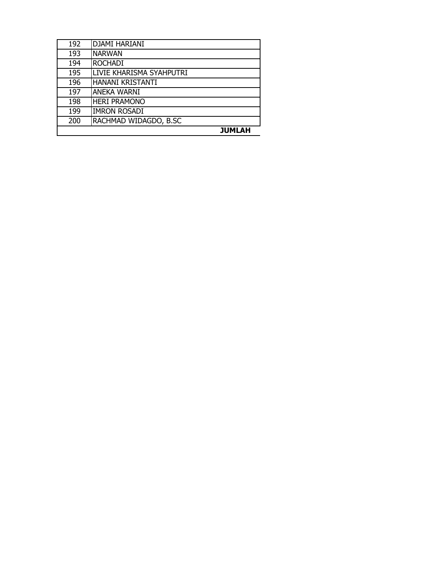| 192 | <b>DJAMI HARIANI</b>     |
|-----|--------------------------|
| 193 | <b>NARWAN</b>            |
| 194 | <b>ROCHADI</b>           |
| 195 | LIVIE KHARISMA SYAHPUTRI |
| 196 | HANANI KRISTANTI         |
| 197 | <b>ANEKA WARNI</b>       |
| 198 | <b>HERI PRAMONO</b>      |
| 199 | <b>IMRON ROSADI</b>      |
| 200 | RACHMAD WIDAGDO, B.SC    |
|     | <b>JUMLAH</b>            |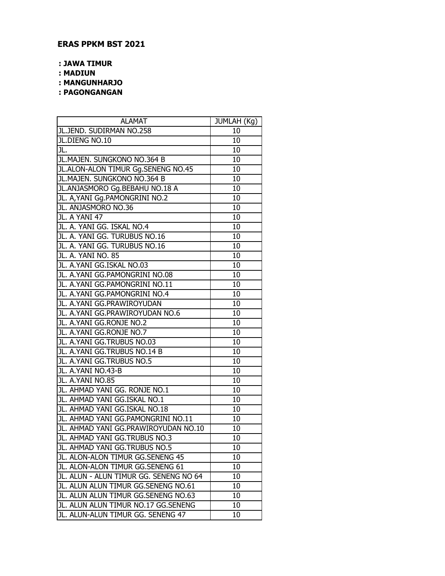## **ERAS PPKM BST 2021**

**: JAWA TIMUR**

**: MADIUN**

**: MANGUNHARJO**

**: PAGONGANGAN**

| <b>ALAMAT</b>                          | JUMLAH (Kg) |
|----------------------------------------|-------------|
| JL.JEND. SUDIRMAN NO.258               | 10          |
| JL.DIENG NO.10                         | 10          |
| JL.                                    | 10          |
| JL.MAJEN. SUNGKONO NO.364 B            | 10          |
| JL.ALON-ALON TIMUR Gg.SENENG NO.45     | 10          |
| JL.MAJEN. SUNGKONO NO.364 B            | 10          |
| JL.ANJASMORO Gg.BEBAHU NO.18 A         | 10          |
| JL. A, YANI Gg. PAMONGRINI NO.2        | 10          |
| JL. ANJASMORO NO.36                    | 10          |
| JL. A YANI 47                          | 10          |
| JL. A. YANI GG. ISKAL NO.4             | 10          |
| JL. A. YANI GG. TURUBUS NO.16          | 10          |
| JL. A. YANI GG. TURUBUS NO.16          | 10          |
| JL. A. YANI NO. 85                     | 10          |
| JL. A.YANI GG.ISKAL NO.03              | 10          |
| JL. A.YANI GG.PAMONGRINI NO.08         | 10          |
| JL. A.YANI GG.PAMONGRINI NO.11         | 10          |
| JL. A.YANI GG.PAMONGRINI NO.4          | 10          |
| JL. A.YANI GG.PRAWIROYUDAN             | 10          |
| JL. A.YANI GG.PRAWIROYUDAN NO.6        | 10          |
| JL. A.YANI GG.RONJE NO.2               | 10          |
| JL. A.YANI GG.RONJE NO.7               | 10          |
| JL. A.YANI GG.TRUBUS NO.03             | 10          |
| JL. A.YANI GG.TRUBUS NO.14 B           | 10          |
| JL. A.YANI GG.TRUBUS NO.5              | 10          |
| JL. A.YANI NO.43-B                     | 10          |
| JL. A.YANI NO.85                       | 10          |
| JL. AHMAD YANI GG. RONJE NO.1          | 10          |
| JL. AHMAD YANI GG.ISKAL NO.1           | 10          |
| JL. AHMAD YANI GG.ISKAL NO.18          | 10          |
| JL. AHMAD YANI GG.PAMONGRINI NO.11     | 10          |
| JL. AHMAD YANI GG.PRAWIROYUDAN NO.10   | 10          |
| JL. AHMAD YANI GG.TRUBUS NO.3          | 10          |
| JL. AHMAD YANI GG.TRUBUS NO.5          | 10          |
| JL. ALON-ALON TIMUR GG.SENENG 45       | 10          |
| JL. ALON-ALON TIMUR GG.SENENG 61       | 10          |
| JL. ALUN - ALUN TIMUR GG. SENENG NO 64 | 10          |
| JL. ALUN ALUN TIMUR GG.SENENG NO.61    | 10          |
| JL. ALUN ALUN TIMUR GG.SENENG NO.63    | 10          |
| JL. ALUN ALUN TIMUR NO.17 GG.SENENG    | 10          |
| JL. ALUN-ALUN TIMUR GG. SENENG 47      | 10          |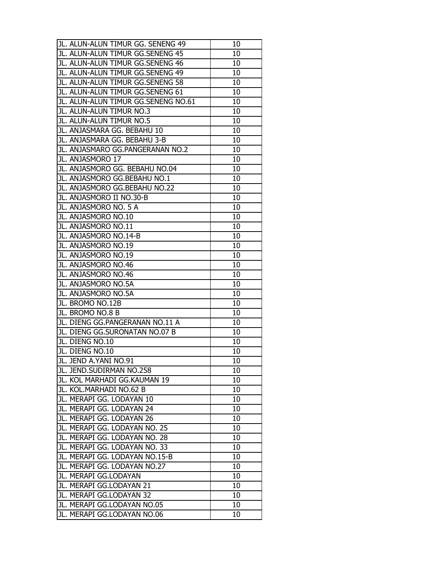| JL. ALUN-ALUN TIMUR GG. SENENG 49   | 10 |
|-------------------------------------|----|
| JL. ALUN-ALUN TIMUR GG.SENENG 45    | 10 |
| JL. ALUN-ALUN TIMUR GG.SENENG 46    | 10 |
| JL. ALUN-ALUN TIMUR GG.SENENG 49    | 10 |
| JL. ALUN-ALUN TIMUR GG.SENENG 58    | 10 |
| JL. ALUN-ALUN TIMUR GG.SENENG 61    | 10 |
| JL. ALUN-ALUN TIMUR GG.SENENG NO.61 | 10 |
| JL. ALUN-ALUN TIMUR NO.3            | 10 |
| JL. ALUN-ALUN TIMUR NO.5            | 10 |
| JL. ANJASMARA GG. BEBAHU 10         | 10 |
| JL. ANJASMARA GG. BEBAHU 3-B        | 10 |
| JL. ANJASMARO GG.PANGERANAN NO.2    | 10 |
| JL. ANJASMORO 17                    | 10 |
| JL. ANJASMORO GG. BEBAHU NO.04      | 10 |
| JL. ANJASMORO GG.BEBAHU NO.1        | 10 |
| JL. ANJASMORO GG.BEBAHU NO.22       | 10 |
| JL. ANJASMORO II NO.30-B            | 10 |
| JL. ANJASMORO NO. 5 A               | 10 |
| JL. ANJASMORO NO.10                 | 10 |
| JL. ANJASMORO NO.11                 | 10 |
| JL. ANJASMORO NO.14-B               | 10 |
| JL. ANJASMORO NO.19                 | 10 |
| JL. ANJASMORO NO.19                 | 10 |
| JL. ANJASMORO NO.46                 | 10 |
| JL. ANJASMORO NO.46                 | 10 |
| JL. ANJASMORO NO.5A                 | 10 |
| JL. ANJASMORO NO.5A                 | 10 |
| JL. BROMO NO.12B                    | 10 |
| JL. BROMO NO.8 B                    | 10 |
| JL. DIENG GG.PANGERANAN NO.11 A     | 10 |
| JL. DIENG GG.SURONATAN NO.07 B      | 10 |
| JL. DIENG NO.10                     | 10 |
| JL. DIENG NO.10                     | 10 |
| JL. JEND A.YANI NO.91               | 10 |
| JL. JEND.SUDIRMAN NO.258            | 10 |
| JL. KOL MARHADI GG.KAUMAN 19        | 10 |
| JL. KOL.MARHADI NO.62 B             | 10 |
| JL. MERAPI GG. LODAYAN 10           | 10 |
| JL. MERAPI GG. LODAYAN 24           | 10 |
| JL. MERAPI GG. LODAYAN 26           | 10 |
| JL. MERAPI GG. LODAYAN NO. 25       | 10 |
| JL. MERAPI GG. LODAYAN NO. 28       | 10 |
| JL. MERAPI GG. LODAYAN NO. 33       | 10 |
| JL. MERAPI GG. LODAYAN NO.15-B      | 10 |
| JL. MERAPI GG. LODAYAN NO.27        | 10 |
| JL. MERAPI GG.LODAYAN               | 10 |
| JL. MERAPI GG.LODAYAN 21            | 10 |
| JL. MERAPI GG.LODAYAN 32            | 10 |
| JL. MERAPI GG.LODAYAN NO.05         | 10 |
| JL. MERAPI GG.LODAYAN NO.06         | 10 |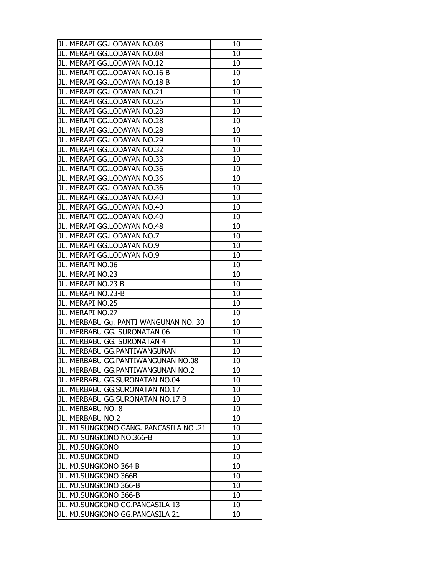| JL. MERAPI GG.LODAYAN NO.08                                        | 10 |
|--------------------------------------------------------------------|----|
| JL. MERAPI GG.LODAYAN NO.08                                        | 10 |
| JL. MERAPI GG.LODAYAN NO.12                                        | 10 |
| JL. MERAPI GG.LODAYAN NO.16 B                                      | 10 |
| JL. MERAPI GG.LODAYAN NO.18 B                                      | 10 |
| JL. MERAPI GG.LODAYAN NO.21                                        | 10 |
| JL. MERAPI GG.LODAYAN NO.25                                        | 10 |
| JL. MERAPI GG.LODAYAN NO.28                                        | 10 |
| JL. MERAPI GG.LODAYAN NO.28                                        | 10 |
| JL. MERAPI GG.LODAYAN NO.28                                        | 10 |
| JL. MERAPI GG.LODAYAN NO.29                                        | 10 |
| JL. MERAPI GG.LODAYAN NO.32                                        | 10 |
| JL. MERAPI GG.LODAYAN NO.33                                        | 10 |
| JL. MERAPI GG.LODAYAN NO.36                                        | 10 |
| JL. MERAPI GG.LODAYAN NO.36                                        | 10 |
| JL. MERAPI GG.LODAYAN NO.36                                        | 10 |
| JL. MERAPI GG.LODAYAN NO.40                                        | 10 |
| JL. MERAPI GG.LODAYAN NO.40                                        | 10 |
| JL. MERAPI GG.LODAYAN NO.40                                        | 10 |
| JL. MERAPI GG.LODAYAN NO.48                                        | 10 |
| JL. MERAPI GG.LODAYAN NO.7                                         | 10 |
| JL. MERAPI GG.LODAYAN NO.9                                         | 10 |
| JL. MERAPI GG.LODAYAN NO.9                                         | 10 |
| JL. MERAPI NO.06                                                   | 10 |
| JL. MERAPI NO.23                                                   | 10 |
| JL. MERAPI NO.23 B                                                 | 10 |
| JL. MERAPI NO.23-B                                                 | 10 |
|                                                                    |    |
| JL. MERAPI NO.25                                                   | 10 |
| JL. MERAPI NO.27                                                   | 10 |
| JL. MERBABU Gg. PANTI WANGUNAN NO. 30                              | 10 |
| JL. MERBABU GG. SURONATAN 06                                       | 10 |
| JL. MERBABU GG. SURONATAN 4                                        | 10 |
| JL. MERBABU GG.PANTIWANGUNAN                                       | 10 |
| JL. MERBABU GG.PANTIWANGUNAN NO.08                                 | 10 |
| JL. MERBABU GG.PANTIWANGUNAN NO.2                                  | 10 |
| JL. MERBABU GG.SURONATAN NO.04                                     | 10 |
| JL. MERBABU GG.SURONATAN NO.17                                     | 10 |
| JL. MERBABU GG.SURONATAN NO.17 B                                   | 10 |
| JL. MERBABU NO. 8                                                  | 10 |
| JL. MERBABU NO.2                                                   | 10 |
| JL. MJ SUNGKONO GANG. PANCASILA NO .21                             | 10 |
| JL. MJ SUNGKONO NO.366-B                                           | 10 |
| JL. MJ.SUNGKONO                                                    | 10 |
| JL. MJ.SUNGKONO                                                    | 10 |
| JL. MJ.SUNGKONO 364 B                                              | 10 |
| JL. MJ.SUNGKONO 366B                                               | 10 |
| JL. MJ.SUNGKONO 366-B                                              | 10 |
| JL. MJ.SUNGKONO 366-B                                              | 10 |
| JL. MJ.SUNGKONO GG.PANCASILA 13<br>JL. MJ.SUNGKONO GG.PANCASILA 21 | 10 |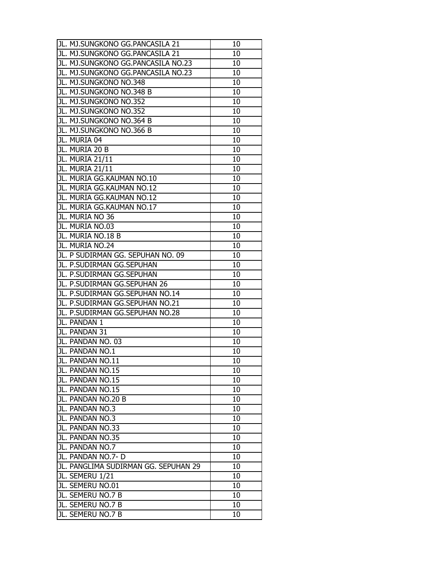| JL. MJ.SUNGKONO GG.PANCASILA 21      | 10 |
|--------------------------------------|----|
| JL. MJ.SUNGKONO GG.PANCASILA 21      | 10 |
| JL. MJ.SUNGKONO GG.PANCASILA NO.23   | 10 |
| JL. MJ.SUNGKONO GG.PANCASILA NO.23   | 10 |
| JL. MJ.SUNGKONO NO.348               | 10 |
| JL. MJ.SUNGKONO NO.348 B             | 10 |
| JL. MJ.SUNGKONO NO.352               | 10 |
| JL. MJ.SUNGKONO NO.352               | 10 |
| JL. MJ.SUNGKONO NO.364 B             | 10 |
| JL. MJ.SUNGKONO NO.366 B             | 10 |
| JL. MURIA 04                         | 10 |
| JL. MURIA 20 B                       | 10 |
| JL. MURIA 21/11                      | 10 |
| JL. MURIA 21/11                      | 10 |
| JL. MURIA GG.KAUMAN NO.10            | 10 |
| JL. MURIA GG.KAUMAN NO.12            | 10 |
| JL. MURIA GG.KAUMAN NO.12            | 10 |
| JL. MURIA GG.KAUMAN NO.17            | 10 |
| JL. MURIA NO 36                      | 10 |
| JL. MURIA NO.03                      | 10 |
| JL. MURIA NO.18 B                    | 10 |
| JL. MURIA NO.24                      | 10 |
| JL. P SUDIRMAN GG. SEPUHAN NO. 09    | 10 |
| JL. P.SUDIRMAN GG.SEPUHAN            | 10 |
| JL. P.SUDIRMAN GG.SEPUHAN            | 10 |
| JL. P.SUDIRMAN GG.SEPUHAN 26         | 10 |
| JL. P.SUDIRMAN GG.SEPUHAN NO.14      | 10 |
| JL. P.SUDIRMAN GG.SEPUHAN NO.21      | 10 |
| JL. P.SUDIRMAN GG.SEPUHAN NO.28      | 10 |
| JL. PANDAN 1                         | 10 |
| JL. PANDAN 31                        | 10 |
| JL. PANDAN NO. 03                    | 10 |
| JL. PANDAN NO.1                      | 10 |
| JL. PANDAN NO.11                     | 10 |
| JL. PANDAN NO.15                     | 10 |
| JL. PANDAN NO.15                     | 10 |
| JL. PANDAN NO.15                     | 10 |
| JL. PANDAN NO.20 B                   | 10 |
| JL. PANDAN NO.3                      | 10 |
| JL. PANDAN NO.3                      | 10 |
| JL. PANDAN NO.33                     | 10 |
| JL. PANDAN NO.35                     | 10 |
| JL. PANDAN NO.7                      | 10 |
| JL. PANDAN NO.7- D                   | 10 |
| JL. PANGLIMA SUDIRMAN GG. SEPUHAN 29 | 10 |
| JL. SEMERU 1/21                      | 10 |
| JL. SEMERU NO.01                     | 10 |
| JL. SEMERU NO.7 B                    | 10 |
| JL. SEMERU NO.7 B                    | 10 |
| JL. SEMERU NO.7 B                    | 10 |